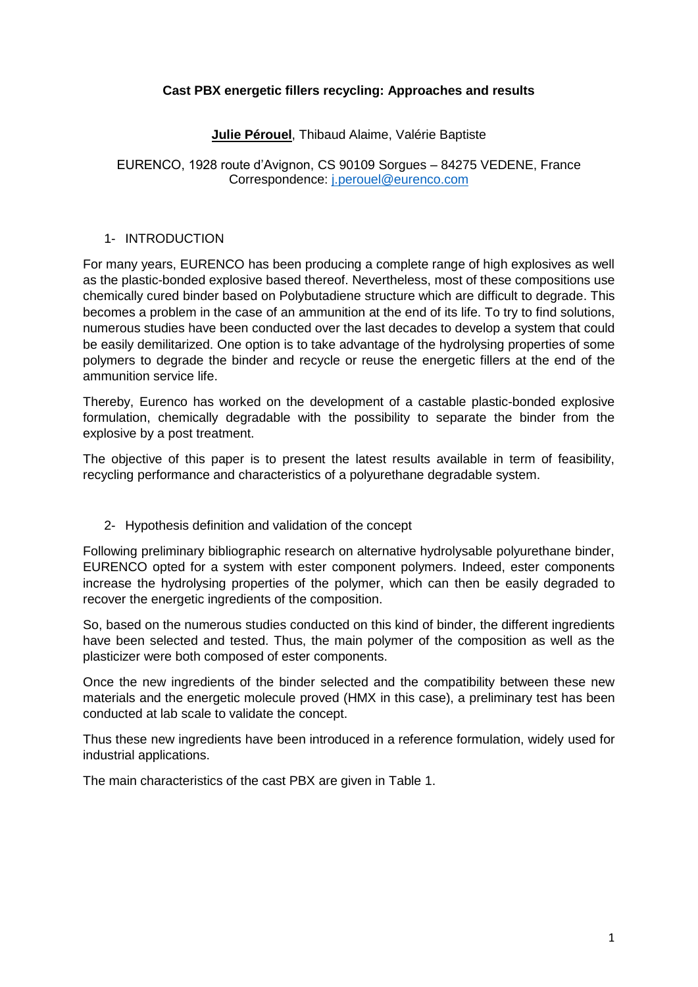### **Cast PBX energetic fillers recycling: Approaches and results**

### **Julie Pérouel**, Thibaud Alaime, Valérie Baptiste

EURENCO, 1928 route d'Avignon, CS 90109 Sorgues – 84275 VEDENE, France Correspondence: [j.perouel@eurenco.com](mailto:j.perouel@eurenco.com)

#### 1- INTRODUCTION

For many years, EURENCO has been producing a complete range of high explosives as well as the plastic-bonded explosive based thereof. Nevertheless, most of these compositions use chemically cured binder based on Polybutadiene structure which are difficult to degrade. This becomes a problem in the case of an ammunition at the end of its life. To try to find solutions, numerous studies have been conducted over the last decades to develop a system that could be easily demilitarized. One option is to take advantage of the hydrolysing properties of some polymers to degrade the binder and recycle or reuse the energetic fillers at the end of the ammunition service life.

Thereby, Eurenco has worked on the development of a castable plastic-bonded explosive formulation, chemically degradable with the possibility to separate the binder from the explosive by a post treatment.

The objective of this paper is to present the latest results available in term of feasibility, recycling performance and characteristics of a polyurethane degradable system.

#### 2- Hypothesis definition and validation of the concept

Following preliminary bibliographic research on alternative hydrolysable polyurethane binder, EURENCO opted for a system with ester component polymers. Indeed, ester components increase the hydrolysing properties of the polymer, which can then be easily degraded to recover the energetic ingredients of the composition.

So, based on the numerous studies conducted on this kind of binder, the different ingredients have been selected and tested. Thus, the main polymer of the composition as well as the plasticizer were both composed of ester components.

Once the new ingredients of the binder selected and the compatibility between these new materials and the energetic molecule proved (HMX in this case), a preliminary test has been conducted at lab scale to validate the concept.

Thus these new ingredients have been introduced in a reference formulation, widely used for industrial applications.

The main characteristics of the cast PBX are given in Table 1.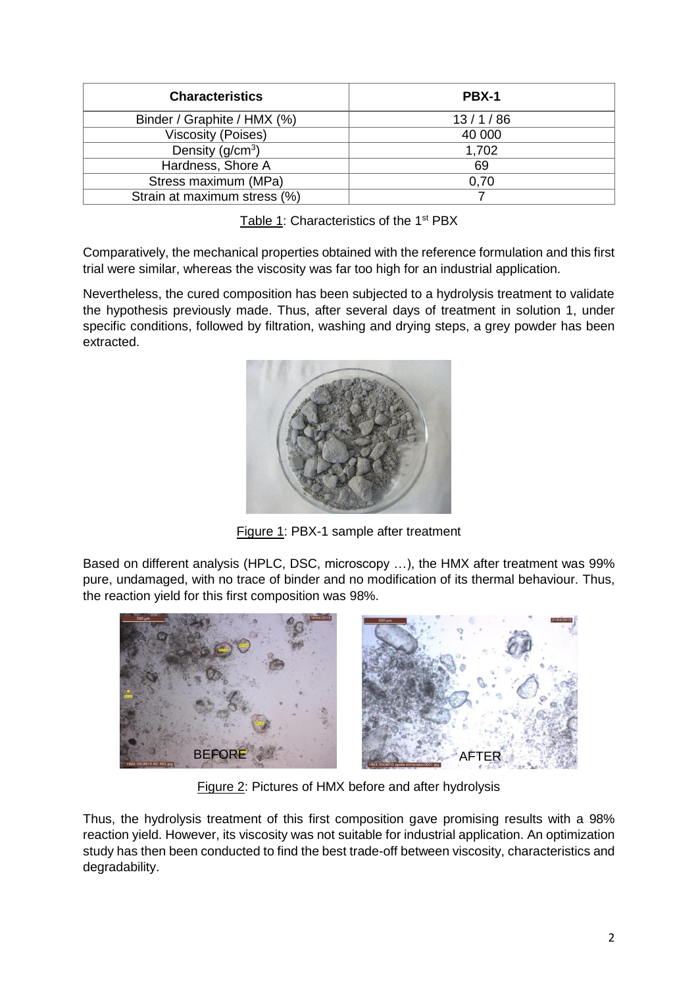| <b>Characteristics</b>       | PBX-1   |
|------------------------------|---------|
| Binder / Graphite / HMX (%)  | 13/1/86 |
| <b>Viscosity (Poises)</b>    | 40 000  |
| Density $(g/cm3)$            | 1,702   |
| Hardness, Shore A            | 69      |
| Stress maximum (MPa)         | 0,70    |
| Strain at maximum stress (%) |         |

Table 1: Characteristics of the 1<sup>st</sup> PBX

Comparatively, the mechanical properties obtained with the reference formulation and this first trial were similar, whereas the viscosity was far too high for an industrial application.

Nevertheless, the cured composition has been subjected to a hydrolysis treatment to validate the hypothesis previously made. Thus, after several days of treatment in solution 1, under specific conditions, followed by filtration, washing and drying steps, a grey powder has been extracted.



Figure 1: PBX-1 sample after treatment

Based on different analysis (HPLC, DSC, microscopy …), the HMX after treatment was 99% pure, undamaged, with no trace of binder and no modification of its thermal behaviour. Thus, the reaction yield for this first composition was 98%.



Figure 2: Pictures of HMX before and after hydrolysis

Thus, the hydrolysis treatment of this first composition gave promising results with a 98% reaction yield. However, its viscosity was not suitable for industrial application. An optimization study has then been conducted to find the best trade-off between viscosity, characteristics and degradability.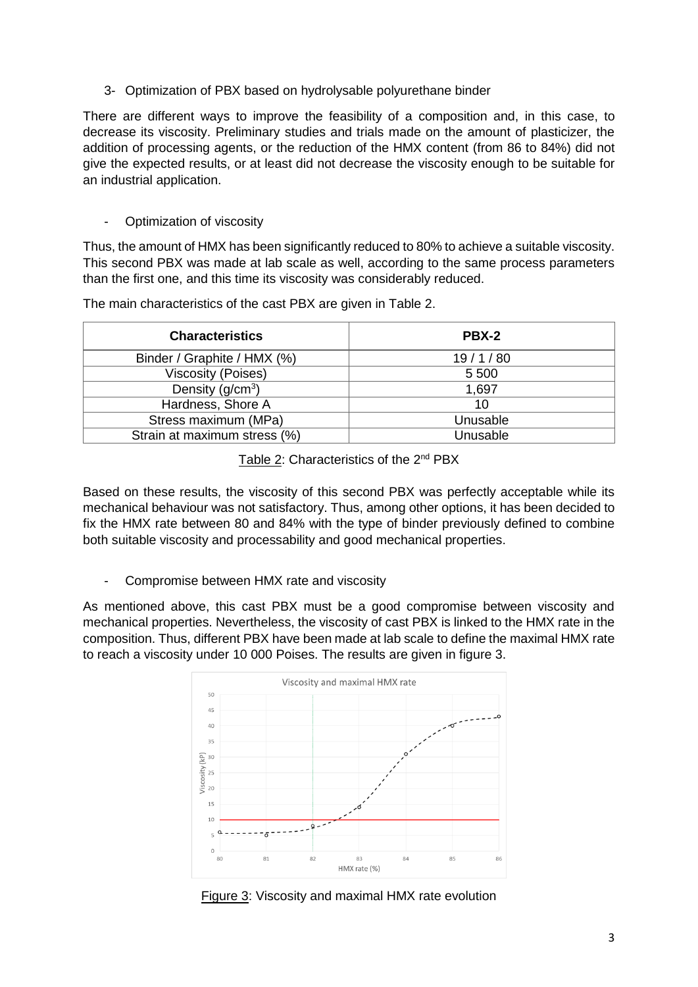3- Optimization of PBX based on hydrolysable polyurethane binder

There are different ways to improve the feasibility of a composition and, in this case, to decrease its viscosity. Preliminary studies and trials made on the amount of plasticizer, the addition of processing agents, or the reduction of the HMX content (from 86 to 84%) did not give the expected results, or at least did not decrease the viscosity enough to be suitable for an industrial application.

- Optimization of viscosity

Thus, the amount of HMX has been significantly reduced to 80% to achieve a suitable viscosity. This second PBX was made at lab scale as well, according to the same process parameters than the first one, and this time its viscosity was considerably reduced.

| <b>Characteristics</b>       | PBX-2    |
|------------------------------|----------|
| Binder / Graphite / HMX (%)  | 19/1/80  |
| <b>Viscosity (Poises)</b>    | 5 5 0 0  |
| Density $(g/cm3)$            | 1,697    |
| Hardness, Shore A            | 10       |
| Stress maximum (MPa)         | Unusable |
| Strain at maximum stress (%) | Unusable |

The main characteristics of the cast PBX are given in Table 2.

Table 2: Characteristics of the 2<sup>nd</sup> PBX

Based on these results, the viscosity of this second PBX was perfectly acceptable while its mechanical behaviour was not satisfactory. Thus, among other options, it has been decided to fix the HMX rate between 80 and 84% with the type of binder previously defined to combine both suitable viscosity and processability and good mechanical properties.

- Compromise between HMX rate and viscosity

As mentioned above, this cast PBX must be a good compromise between viscosity and mechanical properties. Nevertheless, the viscosity of cast PBX is linked to the HMX rate in the composition. Thus, different PBX have been made at lab scale to define the maximal HMX rate to reach a viscosity under 10 000 Poises. The results are given in figure 3.



Figure 3: Viscosity and maximal HMX rate evolution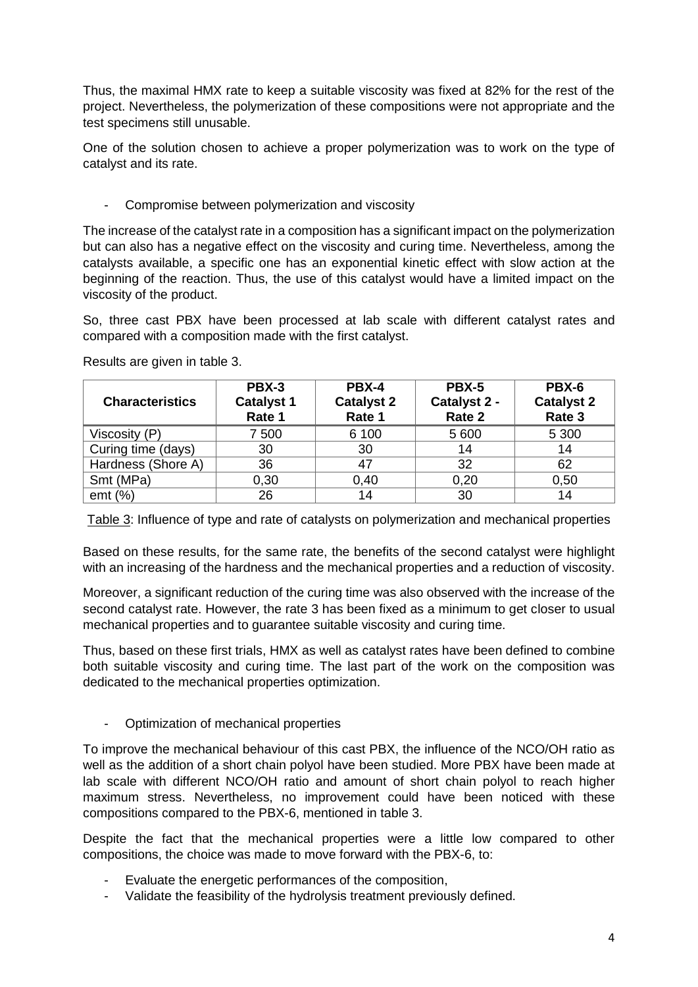Thus, the maximal HMX rate to keep a suitable viscosity was fixed at 82% for the rest of the project. Nevertheless, the polymerization of these compositions were not appropriate and the test specimens still unusable.

One of the solution chosen to achieve a proper polymerization was to work on the type of catalyst and its rate.

- Compromise between polymerization and viscosity

The increase of the catalyst rate in a composition has a significant impact on the polymerization but can also has a negative effect on the viscosity and curing time. Nevertheless, among the catalysts available, a specific one has an exponential kinetic effect with slow action at the beginning of the reaction. Thus, the use of this catalyst would have a limited impact on the viscosity of the product.

So, three cast PBX have been processed at lab scale with different catalyst rates and compared with a composition made with the first catalyst.

| <b>Characteristics</b> | PBX-3<br><b>Catalyst 1</b><br>Rate 1 | PBX-4<br><b>Catalyst 2</b><br>Rate 1 | PBX-5<br>Catalyst 2 -<br>Rate 2 | PBX-6<br><b>Catalyst 2</b><br>Rate 3 |
|------------------------|--------------------------------------|--------------------------------------|---------------------------------|--------------------------------------|
| Viscosity (P)          | 7 500                                | 6 100                                | 5 600                           | 5 3 0 0                              |
| Curing time (days)     | 30                                   | 30                                   | 14                              | 14                                   |
| Hardness (Shore A)     | 36                                   | 47                                   | 32                              | 62                                   |
| Smt (MPa)              | 0,30                                 | 0,40                                 | 0,20                            | 0,50                                 |
| emt $(%)$              | 26                                   | 14                                   | 30                              | 14                                   |

Results are given in table 3.

Table 3: Influence of type and rate of catalysts on polymerization and mechanical properties

Based on these results, for the same rate, the benefits of the second catalyst were highlight with an increasing of the hardness and the mechanical properties and a reduction of viscosity.

Moreover, a significant reduction of the curing time was also observed with the increase of the second catalyst rate. However, the rate 3 has been fixed as a minimum to get closer to usual mechanical properties and to guarantee suitable viscosity and curing time.

Thus, based on these first trials, HMX as well as catalyst rates have been defined to combine both suitable viscosity and curing time. The last part of the work on the composition was dedicated to the mechanical properties optimization.

- Optimization of mechanical properties

To improve the mechanical behaviour of this cast PBX, the influence of the NCO/OH ratio as well as the addition of a short chain polyol have been studied. More PBX have been made at lab scale with different NCO/OH ratio and amount of short chain polyol to reach higher maximum stress. Nevertheless, no improvement could have been noticed with these compositions compared to the PBX-6, mentioned in table 3.

Despite the fact that the mechanical properties were a little low compared to other compositions, the choice was made to move forward with the PBX-6, to:

- Evaluate the energetic performances of the composition,
- Validate the feasibility of the hydrolysis treatment previously defined.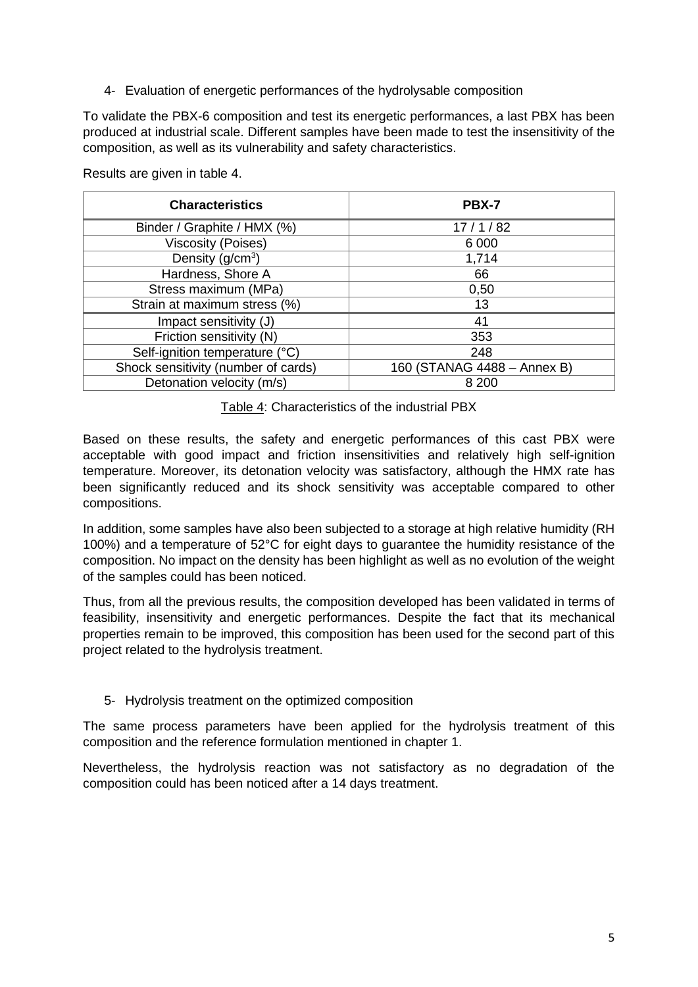4- Evaluation of energetic performances of the hydrolysable composition

To validate the PBX-6 composition and test its energetic performances, a last PBX has been produced at industrial scale. Different samples have been made to test the insensitivity of the composition, as well as its vulnerability and safety characteristics.

Results are given in table 4.

| <b>Characteristics</b>              | <b>PBX-7</b>                |
|-------------------------------------|-----------------------------|
| Binder / Graphite / HMX (%)         | 17/1/82                     |
| <b>Viscosity (Poises)</b>           | 6 0 0 0                     |
| Density $(g/cm3)$                   | 1,714                       |
| Hardness, Shore A                   | 66                          |
| Stress maximum (MPa)                | 0,50                        |
| Strain at maximum stress (%)        | 13                          |
| Impact sensitivity (J)              | 41                          |
| Friction sensitivity (N)            | 353                         |
| Self-ignition temperature (°C)      | 248                         |
| Shock sensitivity (number of cards) | 160 (STANAG 4488 - Annex B) |
| Detonation velocity (m/s)           | 8 2 0 0                     |

Table 4: Characteristics of the industrial PBX

Based on these results, the safety and energetic performances of this cast PBX were acceptable with good impact and friction insensitivities and relatively high self-ignition temperature. Moreover, its detonation velocity was satisfactory, although the HMX rate has been significantly reduced and its shock sensitivity was acceptable compared to other compositions.

In addition, some samples have also been subjected to a storage at high relative humidity (RH 100%) and a temperature of 52°C for eight days to guarantee the humidity resistance of the composition. No impact on the density has been highlight as well as no evolution of the weight of the samples could has been noticed.

Thus, from all the previous results, the composition developed has been validated in terms of feasibility, insensitivity and energetic performances. Despite the fact that its mechanical properties remain to be improved, this composition has been used for the second part of this project related to the hydrolysis treatment.

#### 5- Hydrolysis treatment on the optimized composition

The same process parameters have been applied for the hydrolysis treatment of this composition and the reference formulation mentioned in chapter 1.

Nevertheless, the hydrolysis reaction was not satisfactory as no degradation of the composition could has been noticed after a 14 days treatment.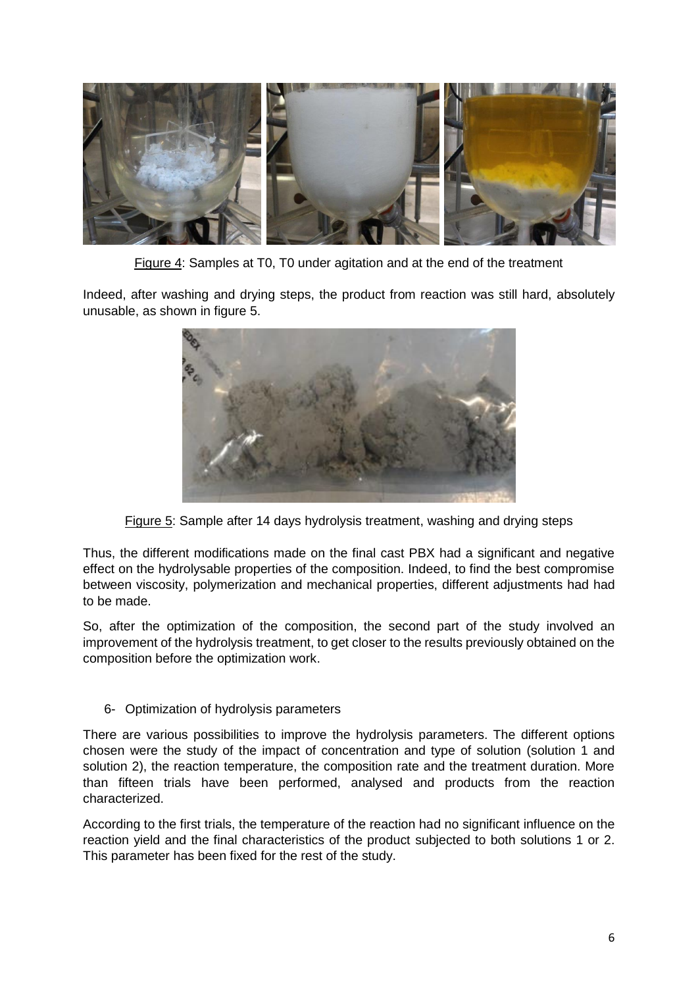

Figure 4: Samples at T0, T0 under agitation and at the end of the treatment

Indeed, after washing and drying steps, the product from reaction was still hard, absolutely unusable, as shown in figure 5.



Figure 5: Sample after 14 days hydrolysis treatment, washing and drying steps

Thus, the different modifications made on the final cast PBX had a significant and negative effect on the hydrolysable properties of the composition. Indeed, to find the best compromise between viscosity, polymerization and mechanical properties, different adjustments had had to be made.

So, after the optimization of the composition, the second part of the study involved an improvement of the hydrolysis treatment, to get closer to the results previously obtained on the composition before the optimization work.

6- Optimization of hydrolysis parameters

There are various possibilities to improve the hydrolysis parameters. The different options chosen were the study of the impact of concentration and type of solution (solution 1 and solution 2), the reaction temperature, the composition rate and the treatment duration. More than fifteen trials have been performed, analysed and products from the reaction characterized.

According to the first trials, the temperature of the reaction had no significant influence on the reaction yield and the final characteristics of the product subjected to both solutions 1 or 2. This parameter has been fixed for the rest of the study.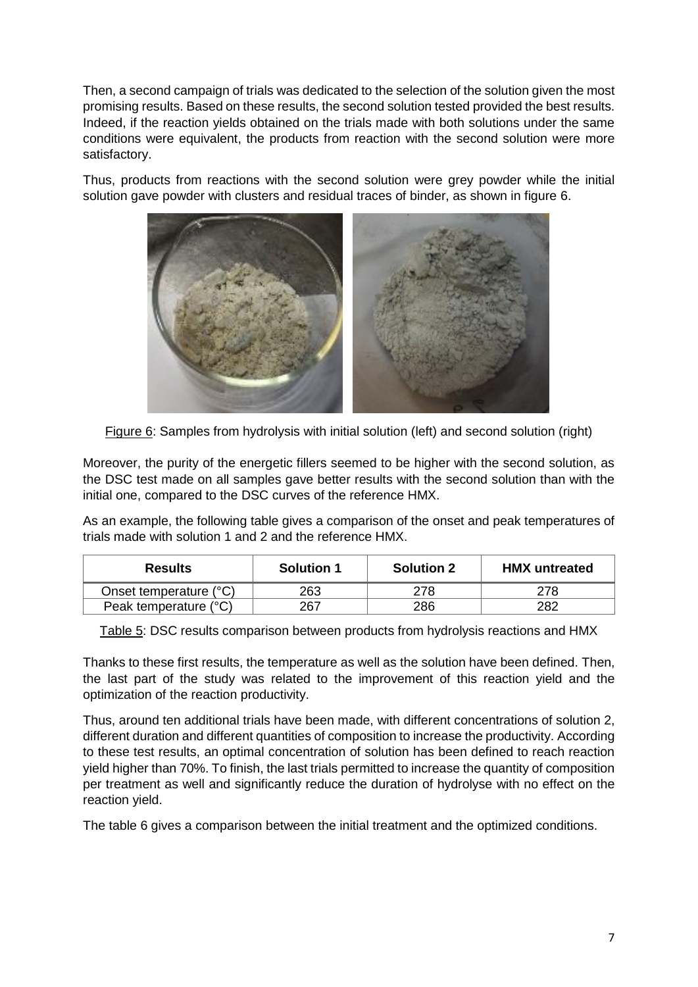Then, a second campaign of trials was dedicated to the selection of the solution given the most promising results. Based on these results, the second solution tested provided the best results. Indeed, if the reaction yields obtained on the trials made with both solutions under the same conditions were equivalent, the products from reaction with the second solution were more satisfactory.

Thus, products from reactions with the second solution were grey powder while the initial solution gave powder with clusters and residual traces of binder, as shown in figure 6.



Figure 6: Samples from hydrolysis with initial solution (left) and second solution (right)

Moreover, the purity of the energetic fillers seemed to be higher with the second solution, as the DSC test made on all samples gave better results with the second solution than with the initial one, compared to the DSC curves of the reference HMX.

As an example, the following table gives a comparison of the onset and peak temperatures of trials made with solution 1 and 2 and the reference HMX.

| <b>Results</b>         | <b>Solution 1</b> | <b>Solution 2</b> | <b>HMX</b> untreated |
|------------------------|-------------------|-------------------|----------------------|
| Onset temperature (°C) | 263               | ?78               |                      |
| Peak temperature (°C)  | 267               | 286               | 282                  |

Table 5: DSC results comparison between products from hydrolysis reactions and HMX

Thanks to these first results, the temperature as well as the solution have been defined. Then, the last part of the study was related to the improvement of this reaction yield and the optimization of the reaction productivity.

Thus, around ten additional trials have been made, with different concentrations of solution 2, different duration and different quantities of composition to increase the productivity. According to these test results, an optimal concentration of solution has been defined to reach reaction yield higher than 70%. To finish, the last trials permitted to increase the quantity of composition per treatment as well and significantly reduce the duration of hydrolyse with no effect on the reaction yield.

The table 6 gives a comparison between the initial treatment and the optimized conditions.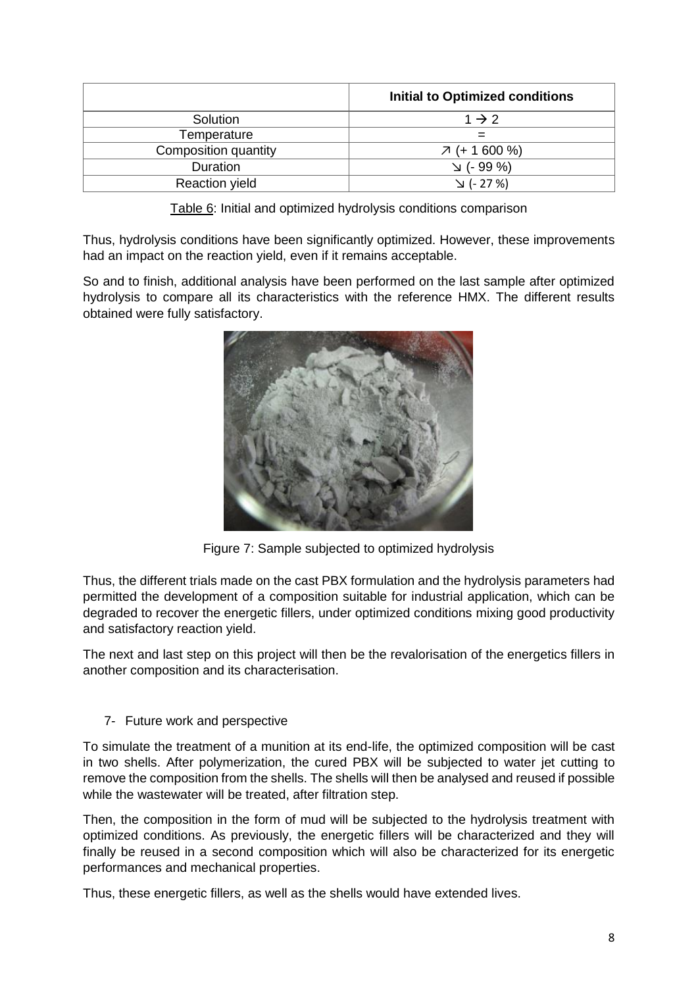|                       | Initial to Optimized conditions |
|-----------------------|---------------------------------|
| Solution              | $1 \rightarrow 2$               |
| Temperature           |                                 |
| Composition quantity  | $7 (+ 1600 %)$                  |
| Duration              | $\vee$ (- 99 %)                 |
| <b>Reaction yield</b> | √ (- 27 %) ע                    |

Table 6: Initial and optimized hydrolysis conditions comparison

Thus, hydrolysis conditions have been significantly optimized. However, these improvements had an impact on the reaction yield, even if it remains acceptable.

So and to finish, additional analysis have been performed on the last sample after optimized hydrolysis to compare all its characteristics with the reference HMX. The different results obtained were fully satisfactory.



Figure 7: Sample subjected to optimized hydrolysis

Thus, the different trials made on the cast PBX formulation and the hydrolysis parameters had permitted the development of a composition suitable for industrial application, which can be degraded to recover the energetic fillers, under optimized conditions mixing good productivity and satisfactory reaction yield.

The next and last step on this project will then be the revalorisation of the energetics fillers in another composition and its characterisation.

# 7- Future work and perspective

To simulate the treatment of a munition at its end-life, the optimized composition will be cast in two shells. After polymerization, the cured PBX will be subjected to water jet cutting to remove the composition from the shells. The shells will then be analysed and reused if possible while the wastewater will be treated, after filtration step.

Then, the composition in the form of mud will be subjected to the hydrolysis treatment with optimized conditions. As previously, the energetic fillers will be characterized and they will finally be reused in a second composition which will also be characterized for its energetic performances and mechanical properties.

Thus, these energetic fillers, as well as the shells would have extended lives.